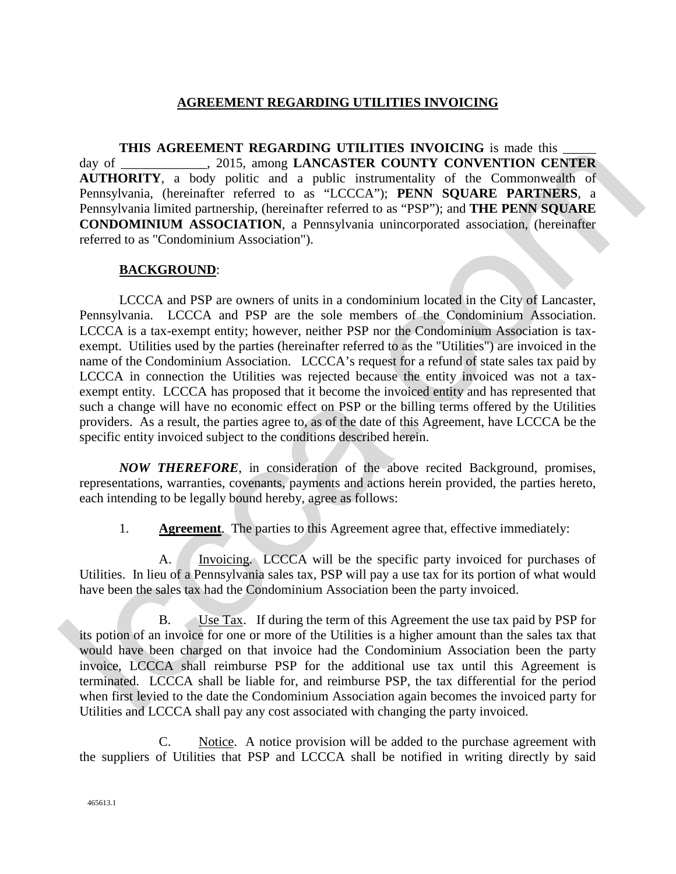## **AGREEMENT REGARDING UTILITIES INVOICING**

**THIS AGREEMENT REGARDING UTILITIES INVOICING** is made this day of \_\_\_\_\_\_\_\_\_\_\_\_\_, 2015, among **LANCASTER COUNTY CONVENTION CENTER AUTHORITY**, a body politic and a public instrumentality of the Commonwealth of Pennsylvania, (hereinafter referred to as "LCCCA"); **PENN SQUARE PARTNERS**, a Pennsylvania limited partnership, (hereinafter referred to as "PSP"); and **THE PENN SQUARE CONDOMINIUM ASSOCIATION**, a Pennsylvania unincorporated association, (hereinafter referred to as "Condominium Association").

## **BACKGROUND**:

LCCCA and PSP are owners of units in a condominium located in the City of Lancaster, Pennsylvania. LCCCA and PSP are the sole members of the Condominium Association. LCCCA is a tax-exempt entity; however, neither PSP nor the Condominium Association is taxexempt. Utilities used by the parties (hereinafter referred to as the "Utilities") are invoiced in the name of the Condominium Association. LCCCA's request for a refund of state sales tax paid by LCCCA in connection the Utilities was rejected because the entity invoiced was not a taxexempt entity. LCCCA has proposed that it become the invoiced entity and has represented that such a change will have no economic effect on PSP or the billing terms offered by the Utilities providers. As a result, the parties agree to, as of the date of this Agreement, have LCCCA be the specific entity invoiced subject to the conditions described herein. **EVALUATION CONSULT (COLUMERATION COLUMERATION CONVENTION CENTER<br>
And THORITY COUNCESS AND AND DESCRIPTION CONVENTION CENTER<br>
ACTION CONVENTION CENTER<br>
ACTION CONVENTION CONVENTION CENTER<br>
Temps what a model point is a su** 

*NOW THEREFORE*, in consideration of the above recited Background, promises, representations, warranties, covenants, payments and actions herein provided, the parties hereto, each intending to be legally bound hereby, agree as follows:

1. **Agreement**. The parties to this Agreement agree that, effective immediately:

A. Invoicing. LCCCA will be the specific party invoiced for purchases of Utilities. In lieu of a Pennsylvania sales tax, PSP will pay a use tax for its portion of what would have been the sales tax had the Condominium Association been the party invoiced.

B. Use Tax. If during the term of this Agreement the use tax paid by PSP for its potion of an invoice for one or more of the Utilities is a higher amount than the sales tax that would have been charged on that invoice had the Condominium Association been the party invoice, LCCCA shall reimburse PSP for the additional use tax until this Agreement is terminated. LCCCA shall be liable for, and reimburse PSP, the tax differential for the period when first levied to the date the Condominium Association again becomes the invoiced party for Utilities and LCCCA shall pay any cost associated with changing the party invoiced.

C. Notice. A notice provision will be added to the purchase agreement with the suppliers of Utilities that PSP and LCCCA shall be notified in writing directly by said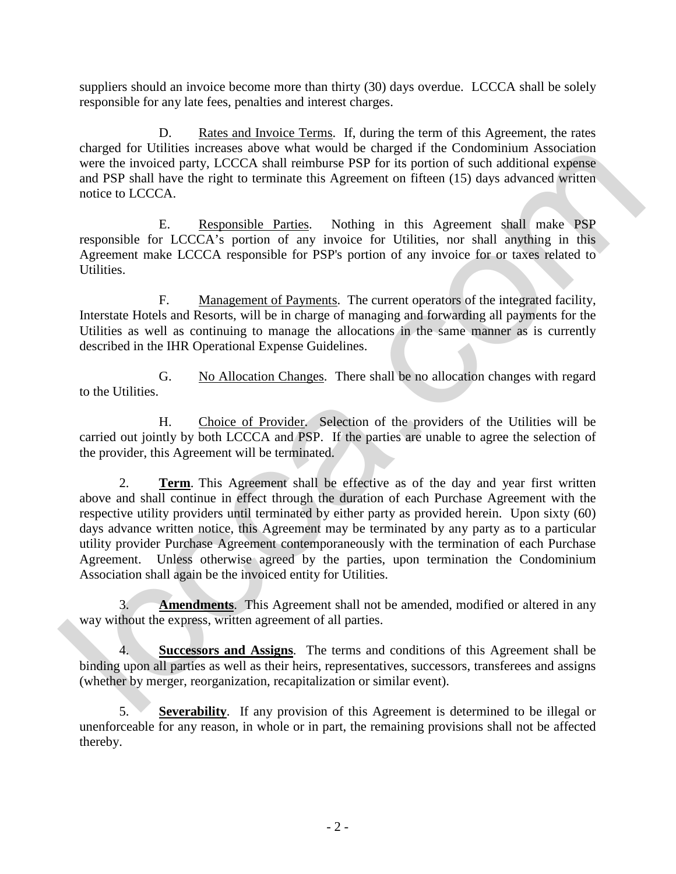suppliers should an invoice become more than thirty (30) days overdue. LCCCA shall be solely responsible for any late fees, penalties and interest charges.

D. Rates and Invoice Terms. If, during the term of this Agreement, the rates charged for Utilities increases above what would be charged if the Condominium Association were the invoiced party, LCCCA shall reimburse PSP for its portion of such additional expense and PSP shall have the right to terminate this Agreement on fifteen (15) days advanced written notice to LCCCA.

 E. Responsible Parties. Nothing in this Agreement shall make PSP responsible for LCCCA's portion of any invoice for Utilities, nor shall anything in this Agreement make LCCCA responsible for PSP's portion of any invoice for or taxes related to Utilities.

F. Management of Payments. The current operators of the integrated facility, Interstate Hotels and Resorts, will be in charge of managing and forwarding all payments for the Utilities as well as continuing to manage the allocations in the same manner as is currently described in the IHR Operational Expense Guidelines.

G. No Allocation Changes. There shall be no allocation changes with regard to the Utilities.

H. Choice of Provider. Selection of the providers of the Utilities will be carried out jointly by both LCCCA and PSP. If the parties are unable to agree the selection of the provider, this Agreement will be terminated.

2. **Term**. This Agreement shall be effective as of the day and year first written above and shall continue in effect through the duration of each Purchase Agreement with the respective utility providers until terminated by either party as provided herein. Upon sixty (60) days advance written notice, this Agreement may be terminated by any party as to a particular utility provider Purchase Agreement contemporaneously with the termination of each Purchase Agreement. Unless otherwise agreed by the parties, upon termination the Condominium Association shall again be the invoiced entity for Utilities. canges for columns increases above what would be canges in the Condominan Association<br>of the Society LCCCA, shall neuther experience in the conduction dependent experience and PSF for the potential capacities<br>and Novel pa

3. **Amendments**. This Agreement shall not be amended, modified or altered in any way without the express, written agreement of all parties.

4. **Successors and Assigns**. The terms and conditions of this Agreement shall be binding upon all parties as well as their heirs, representatives, successors, transferees and assigns (whether by merger, reorganization, recapitalization or similar event).

5. **Severability**. If any provision of this Agreement is determined to be illegal or unenforceable for any reason, in whole or in part, the remaining provisions shall not be affected thereby.